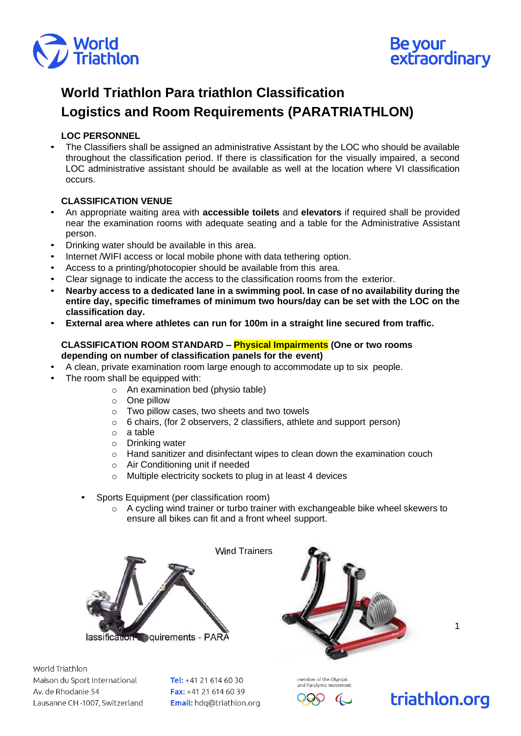



# **World Triathlon Para triathlon Classification Logistics and Room Requirements (PARATRIATHLON)**

## **LOC PERSONNEL**

• The Classifiers shall be assigned an administrative Assistant by the LOC who should be available throughout the classification period. If there is classification for the visually impaired, a second LOC administrative assistant should be available as well at the location where VI classification occurs.

## **CLASSIFICATION VENUE**

- An appropriate waiting area with **accessible toilets** and **elevators** if required shall be provided near the examination rooms with adequate seating and a table for the Administrative Assistant person.
- Drinking water should be available in this area.
- Internet /WIFI access or local mobile phone with data tethering option.
- Access to a printing/photocopier should be available from this area.
- Clear signage to indicate the access to the classification rooms from the exterior.
- **Nearby access to a dedicated lane in a swimming pool. In case of no availability during the entire day, specific timeframes of minimum two hours/day can be set with the LOC on the classification day.**
- **External area where athletes can run for 100m in a straight line secured from traffic.**

#### **CLASSIFICATION ROOM STANDARD – Physical Impairments (One or two rooms depending on number of classification panels for the event)**

- A clean, private examination room large enough to accommodate up to six people.
- The room shall be equipped with:
	- o An examination bed (physio table)
	- o One pillow
	- o Two pillow cases, two sheets and two towels
	- o 6 chairs, (for 2 observers, 2 classifiers, athlete and support person)
	- o a table
	- o Drinking water
	- o Hand sanitizer and disinfectant wipes to clean down the examination couch
	- o Air Conditioning unit if needed
	- o Multiple electricity sockets to plug in at least 4 devices
	- Sports Equipment (per classification room)
		- $\circ$  A cycling wind trainer or turbo trainer with exchangeable bike wheel skewers to ensure all bikes can fit and a front wheel support.





World Triathlon Maison du Sport International Av. de Rhodanie 54 Lausanne CH-1007, Switzerland

Tel: +41 21 614 60 30 Fax: +41 21 614 60 39 Email: hdq@triathlon.org



member of the Olympic

1

triathlon.org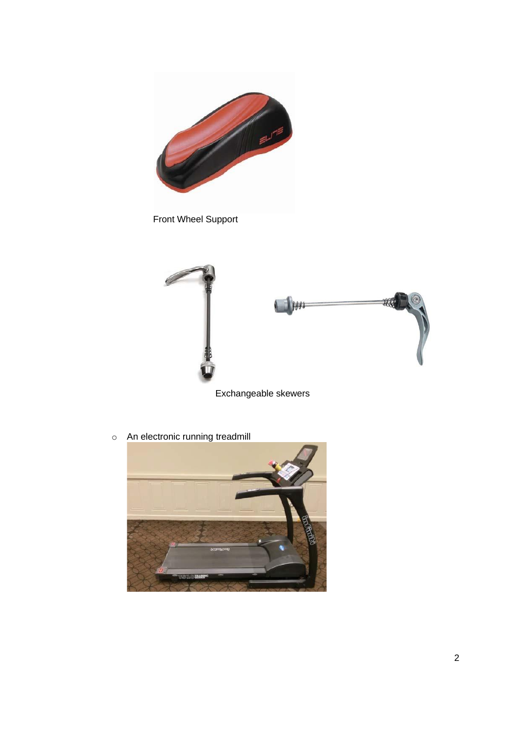

Front Wheel Support



Exchangeable skewers

o An electronic running treadmill

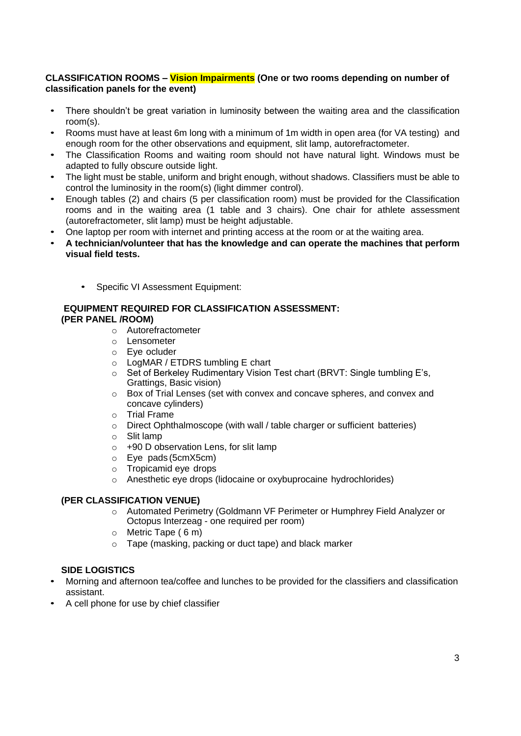#### **CLASSIFICATION ROOMS – Vision Impairments (One or two rooms depending on number of classification panels for the event)**

- There shouldn't be great variation in luminosity between the waiting area and the classification room(s).
- Rooms must have at least 6m long with a minimum of 1m width in open area (for VA testing) and enough room for the other observations and equipment, slit lamp, autorefractometer.
- The Classification Rooms and waiting room should not have natural light. Windows must be adapted to fully obscure outside light.
- The light must be stable, uniform and bright enough, without shadows. Classifiers must be able to control the luminosity in the room(s) (light dimmer control).
- Enough tables (2) and chairs (5 per classification room) must be provided for the Classification rooms and in the waiting area (1 table and 3 chairs). One chair for athlete assessment (autorefractometer, slit lamp) must be height adjustable.
- One laptop per room with internet and printing access at the room or at the waiting area.
- **A technician/volunteer that has the knowledge and can operate the machines that perform visual field tests.**
	- Specific VI Assessment Equipment:

## **EQUIPMENT REQUIRED FOR CLASSIFICATION ASSESSMENT: (PER PANEL /ROOM)**

- o Autorefractometer
- o Lensometer
- o Eye ocluder
- o LogMAR / ETDRS tumbling E chart
- o Set of Berkeley Rudimentary Vision Test chart (BRVT: Single tumbling E's, Grattings, Basic vision)
- o Box of Trial Lenses (set with convex and concave spheres, and convex and concave cylinders)
- o Trial Frame
- o Direct Ophthalmoscope (with wall / table charger or sufficient batteries)
- o Slit lamp
- o +90 D observation Lens, for slit lamp
- o Eye pads (5cmX5cm)
- o Tropicamid eye drops
- o Anesthetic eye drops (lidocaine or oxybuprocaine hydrochlorides)

#### **(PER CLASSIFICATION VENUE)**

- o Automated Perimetry (Goldmann VF Perimeter or Humphrey Field Analyzer or Octopus Interzeag - one required per room)
- o Metric Tape ( 6 m)
- o Tape (masking, packing or duct tape) and black marker

## **SIDE LOGISTICS**

- Morning and afternoon tea/coffee and lunches to be provided for the classifiers and classification assistant.
- A cell phone for use by chief classifier